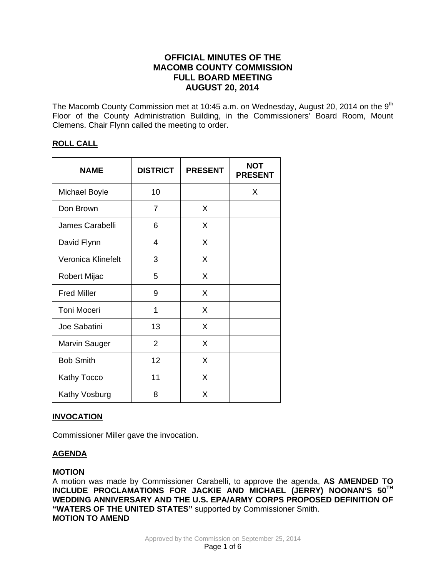# **OFFICIAL MINUTES OF THE MACOMB COUNTY COMMISSION FULL BOARD MEETING AUGUST 20, 2014**

The Macomb County Commission met at 10:45 a.m. on Wednesday, August 20, 2014 on the 9<sup>th</sup> Floor of the County Administration Building, in the Commissioners' Board Room, Mount Clemens. Chair Flynn called the meeting to order.

# **ROLL CALL**

| <b>NAME</b>        | <b>DISTRICT</b> | <b>PRESENT</b> | <b>NOT</b><br><b>PRESENT</b> |
|--------------------|-----------------|----------------|------------------------------|
| Michael Boyle      | 10              |                | X                            |
| Don Brown          | 7               | X              |                              |
| James Carabelli    | 6               | X              |                              |
| David Flynn        | 4               | X              |                              |
| Veronica Klinefelt | 3               | X              |                              |
| Robert Mijac       | 5               | X              |                              |
| <b>Fred Miller</b> | 9               | X              |                              |
| <b>Toni Moceri</b> | 1               | X              |                              |
| Joe Sabatini       | 13              | X              |                              |
| Marvin Sauger      | 2               | X              |                              |
| <b>Bob Smith</b>   | 12              | X              |                              |
| Kathy Tocco        | 11              | X              |                              |
| Kathy Vosburg      | 8               | X              |                              |

# **INVOCATION**

Commissioner Miller gave the invocation.

# **AGENDA**

# **MOTION**

A motion was made by Commissioner Carabelli, to approve the agenda, **AS AMENDED TO INCLUDE PROCLAMATIONS FOR JACKIE AND MICHAEL (JERRY) NOONAN'S 50TH WEDDING ANNIVERSARY AND THE U.S. EPA/ARMY CORPS PROPOSED DEFINITION OF "WATERS OF THE UNITED STATES"** supported by Commissioner Smith. **MOTION TO AMEND**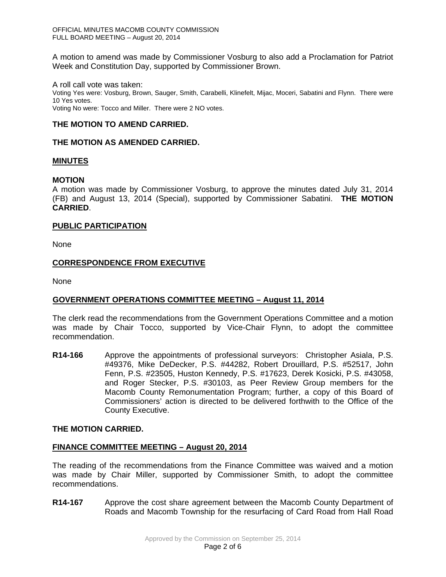A motion to amend was made by Commissioner Vosburg to also add a Proclamation for Patriot Week and Constitution Day, supported by Commissioner Brown.

A roll call vote was taken: Voting Yes were: Vosburg, Brown, Sauger, Smith, Carabelli, Klinefelt, Mijac, Moceri, Sabatini and Flynn. There were 10 Yes votes. Voting No were: Tocco and Miller. There were 2 NO votes.

## **THE MOTION TO AMEND CARRIED.**

## **THE MOTION AS AMENDED CARRIED.**

## **MINUTES**

## **MOTION**

A motion was made by Commissioner Vosburg, to approve the minutes dated July 31, 2014 (FB) and August 13, 2014 (Special), supported by Commissioner Sabatini. **THE MOTION CARRIED**.

## **PUBLIC PARTICIPATION**

None

## **CORRESPONDENCE FROM EXECUTIVE**

None

# **GOVERNMENT OPERATIONS COMMITTEE MEETING – August 11, 2014**

The clerk read the recommendations from the Government Operations Committee and a motion was made by Chair Tocco, supported by Vice-Chair Flynn, to adopt the committee recommendation.

**R14-166** Approve the appointments of professional surveyors: Christopher Asiala, P.S. #49376, Mike DeDecker, P.S. #44282, Robert Drouillard, P.S. #52517, John Fenn, P.S. #23505, Huston Kennedy, P.S. #17623, Derek Kosicki, P.S. #43058, and Roger Stecker, P.S. #30103, as Peer Review Group members for the Macomb County Remonumentation Program; further, a copy of this Board of Commissioners' action is directed to be delivered forthwith to the Office of the County Executive.

#### **THE MOTION CARRIED.**

#### **FINANCE COMMITTEE MEETING – August 20, 2014**

The reading of the recommendations from the Finance Committee was waived and a motion was made by Chair Miller, supported by Commissioner Smith, to adopt the committee recommendations.

**R14-167** Approve the cost share agreement between the Macomb County Department of Roads and Macomb Township for the resurfacing of Card Road from Hall Road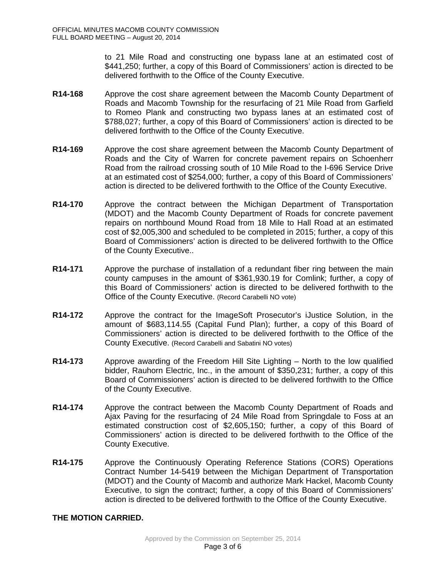to 21 Mile Road and constructing one bypass lane at an estimated cost of \$441,250; further, a copy of this Board of Commissioners' action is directed to be delivered forthwith to the Office of the County Executive.

- **R14-168** Approve the cost share agreement between the Macomb County Department of Roads and Macomb Township for the resurfacing of 21 Mile Road from Garfield to Romeo Plank and constructing two bypass lanes at an estimated cost of \$788,027; further, a copy of this Board of Commissioners' action is directed to be delivered forthwith to the Office of the County Executive.
- **R14-169** Approve the cost share agreement between the Macomb County Department of Roads and the City of Warren for concrete pavement repairs on Schoenherr Road from the railroad crossing south of 10 Mile Road to the I-696 Service Drive at an estimated cost of \$254,000; further, a copy of this Board of Commissioners' action is directed to be delivered forthwith to the Office of the County Executive.
- **R14-170** Approve the contract between the Michigan Department of Transportation (MDOT) and the Macomb County Department of Roads for concrete pavement repairs on northbound Mound Road from 18 Mile to Hall Road at an estimated cost of \$2,005,300 and scheduled to be completed in 2015; further, a copy of this Board of Commissioners' action is directed to be delivered forthwith to the Office of the County Executive..
- **R14-171** Approve the purchase of installation of a redundant fiber ring between the main county campuses in the amount of \$361,930.19 for Comlink; further, a copy of this Board of Commissioners' action is directed to be delivered forthwith to the Office of the County Executive. (Record Carabelli NO vote)
- **R14-172** Approve the contract for the ImageSoft Prosecutor's iJustice Solution, in the amount of \$683,114.55 (Capital Fund Plan); further, a copy of this Board of Commissioners' action is directed to be delivered forthwith to the Office of the County Executive. (Record Carabelli and Sabatini NO votes)
- **R14-173** Approve awarding of the Freedom Hill Site Lighting North to the low qualified bidder, Rauhorn Electric, Inc., in the amount of \$350,231; further, a copy of this Board of Commissioners' action is directed to be delivered forthwith to the Office of the County Executive.
- **R14-174** Approve the contract between the Macomb County Department of Roads and Ajax Paving for the resurfacing of 24 Mile Road from Springdale to Foss at an estimated construction cost of \$2,605,150; further, a copy of this Board of Commissioners' action is directed to be delivered forthwith to the Office of the County Executive.
- **R14-175** Approve the Continuously Operating Reference Stations (CORS) Operations Contract Number 14-5419 between the Michigan Department of Transportation (MDOT) and the County of Macomb and authorize Mark Hackel, Macomb County Executive, to sign the contract; further, a copy of this Board of Commissioners' action is directed to be delivered forthwith to the Office of the County Executive.

# **THE MOTION CARRIED.**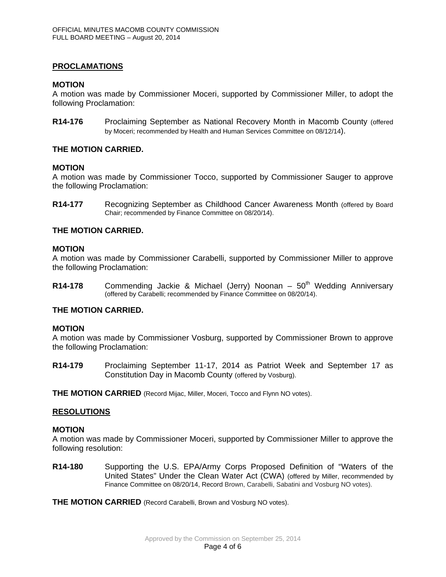## **PROCLAMATIONS**

#### **MOTION**

A motion was made by Commissioner Moceri, supported by Commissioner Miller, to adopt the following Proclamation:

**R14-176** Proclaiming September as National Recovery Month in Macomb County (offered by Moceri; recommended by Health and Human Services Committee on 08/12/14).

### **THE MOTION CARRIED.**

#### **MOTION**

A motion was made by Commissioner Tocco, supported by Commissioner Sauger to approve the following Proclamation:

**R14-177** Recognizing September as Childhood Cancer Awareness Month (offered by Board Chair; recommended by Finance Committee on 08/20/14).

## **THE MOTION CARRIED.**

#### **MOTION**

A motion was made by Commissioner Carabelli, supported by Commissioner Miller to approve the following Proclamation:

**R14-178** Commending Jackie & Michael (Jerry) Noonan – 50<sup>th</sup> Wedding Anniversary (offered by Carabelli; recommended by Finance Committee on 08/20/14).

#### **THE MOTION CARRIED.**

#### **MOTION**

A motion was made by Commissioner Vosburg, supported by Commissioner Brown to approve the following Proclamation:

**R14-179** Proclaiming September 11-17, 2014 as Patriot Week and September 17 as Constitution Day in Macomb County (offered by Vosburg).

**THE MOTION CARRIED** (Record Mijac, Miller, Moceri, Tocco and Flynn NO votes).

#### **RESOLUTIONS**

#### **MOTION**

A motion was made by Commissioner Moceri, supported by Commissioner Miller to approve the following resolution:

**R14-180** Supporting the U.S. EPA/Army Corps Proposed Definition of "Waters of the United States" Under the Clean Water Act (CWA) (offered by Miller, recommended by Finance Committee on 08/20/14, Record Brown, Carabelli, Sabatini and Vosburg NO votes).

**THE MOTION CARRIED** (Record Carabelli, Brown and Vosburg NO votes).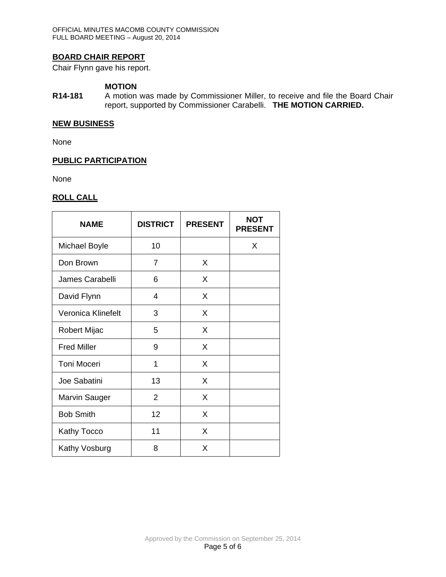# **BOARD CHAIR REPORT**

Chair Flynn gave his report.

# **MOTION**

**R14-181** A motion was made by Commissioner Miller, to receive and file the Board Chair report, supported by Commissioner Carabelli. **THE MOTION CARRIED.**

#### **NEW BUSINESS**

None

## **PUBLIC PARTICIPATION**

None

# **ROLL CALL**

| <b>NAME</b>          | <b>DISTRICT</b> | <b>PRESENT</b> | <b>NOT</b><br><b>PRESENT</b> |
|----------------------|-----------------|----------------|------------------------------|
| <b>Michael Boyle</b> | 10              |                | X                            |
| Don Brown            | 7               | X              |                              |
| James Carabelli      | 6               | X              |                              |
| David Flynn          | 4               | X              |                              |
| Veronica Klinefelt   | 3               | X              |                              |
| Robert Mijac         | 5               | X              |                              |
| <b>Fred Miller</b>   | 9               | X              |                              |
| Toni Moceri          | 1               | X              |                              |
| Joe Sabatini         | 13              | X              |                              |
| <b>Marvin Sauger</b> | $\overline{2}$  | X              |                              |
| <b>Bob Smith</b>     | 12              | X              |                              |
| <b>Kathy Tocco</b>   | 11              | X              |                              |
| Kathy Vosburg        | 8               | X              |                              |